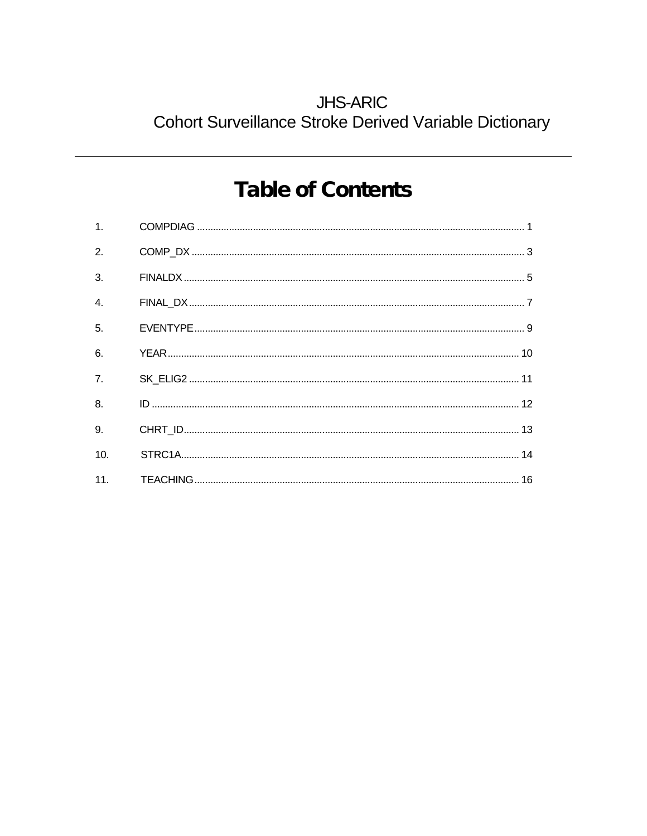## **JHS-ARIC** Cohort Surveillance Stroke Derived Variable Dictionary

# **Table of Contents**

| 7.  |  |
|-----|--|
|     |  |
|     |  |
| 10. |  |
|     |  |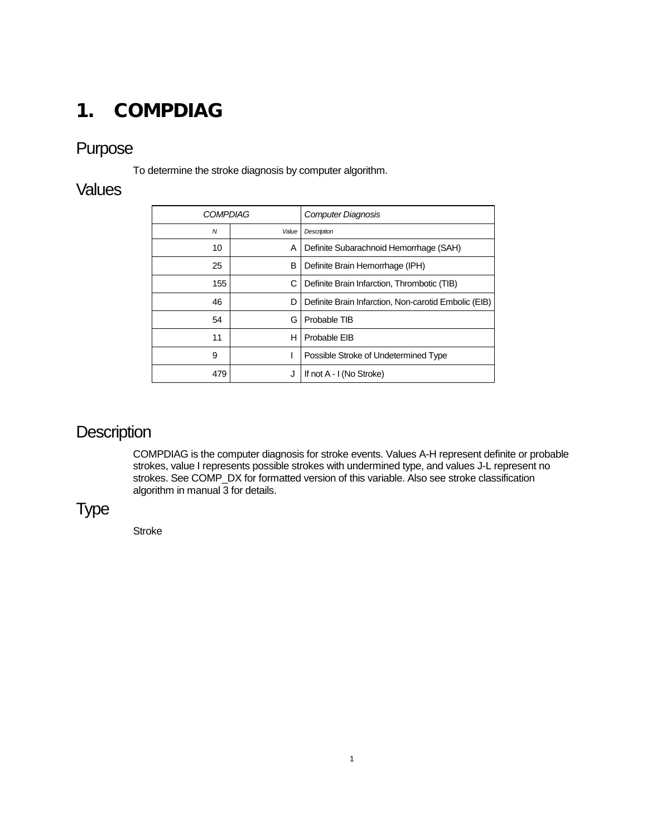## <span id="page-1-0"></span>1. COMPDIAG

#### Purpose

To determine the stroke diagnosis by computer algorithm.

#### **Values**

| <b>COMPDIAG</b> |       | <b>Computer Diagnosis</b>                            |
|-----------------|-------|------------------------------------------------------|
| N               | Value | <b>Description</b>                                   |
| 10              | A     | Definite Subarachnoid Hemorrhage (SAH)               |
| 25              | в     | Definite Brain Hemorrhage (IPH)                      |
| 155             | С     | Definite Brain Infarction, Thrombotic (TIB)          |
| 46              | D     | Definite Brain Infarction, Non-carotid Embolic (EIB) |
| 54              | G     | Probable TIB                                         |
| 11              | н     | Probable EIB                                         |
| 9               |       | Possible Stroke of Undetermined Type                 |
| 479             | J     | If not A - I (No Stroke)                             |

## **Description**

COMPDIAG is the computer diagnosis for stroke events. Values A-H represent definite or probable strokes, value I represents possible strokes with undermined type, and values J-L represent no strokes. See COMP\_DX for formatted version of this variable. Also see stroke classification algorithm in manual  $\overline{3}$  for details.

## Type

Stroke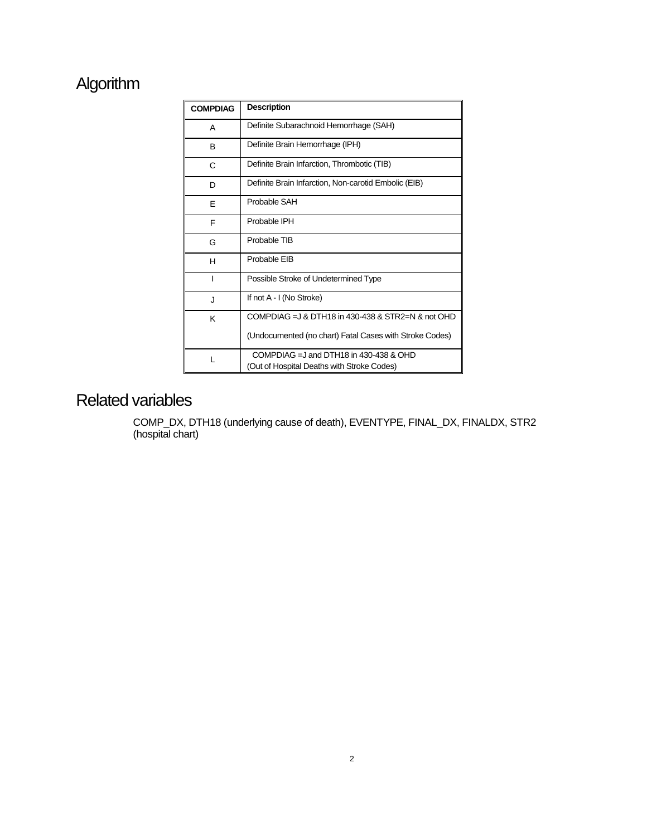## Algorithm

| <b>COMPDIAG</b> | <b>Description</b>                                                                      |  |
|-----------------|-----------------------------------------------------------------------------------------|--|
| A               | Definite Subarachnoid Hemorrhage (SAH)                                                  |  |
| B               | Definite Brain Hemorrhage (IPH)                                                         |  |
| C               | Definite Brain Infarction, Thrombotic (TIB)                                             |  |
| D               | Definite Brain Infarction, Non-carotid Embolic (EIB)                                    |  |
| E               | Probable SAH                                                                            |  |
| F               | Probable IPH                                                                            |  |
| G               | Probable TIB                                                                            |  |
| н               | Probable EIB                                                                            |  |
| ı               | Possible Stroke of Undetermined Type                                                    |  |
| J               | If not A - I (No Stroke)                                                                |  |
| K               | COMPDIAG = 3 & DTH18 in 430-438 & STR2=N & not OHD                                      |  |
|                 | (Undocumented (no chart) Fatal Cases with Stroke Codes)                                 |  |
| L               | COMPDIAG = $J$ and DTH18 in 430-438 & OHD<br>(Out of Hospital Deaths with Stroke Codes) |  |

### Related variables

COMP\_DX, DTH18 (underlying cause of death), EVENTYPE, FINAL\_DX, FINALDX, STR2 (hospital chart)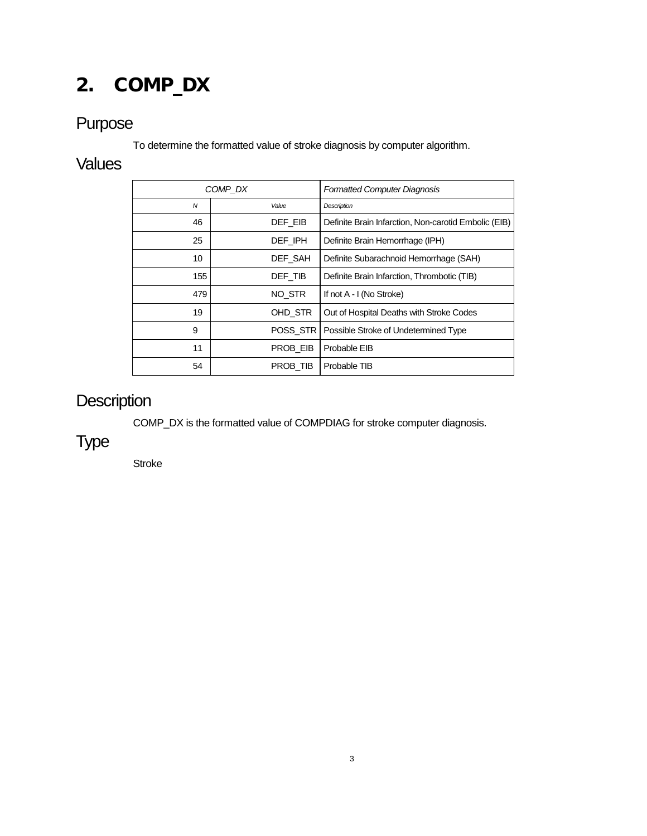# <span id="page-3-0"></span>2. COMP\_DX

## Purpose

To determine the formatted value of stroke diagnosis by computer algorithm.

#### **Values**

|                | COMP DX |          | <b>Formatted Computer Diagnosis</b>                  |
|----------------|---------|----------|------------------------------------------------------|
| $\overline{N}$ |         | Value    | <b>Description</b>                                   |
| 46             |         | DEF EIB  | Definite Brain Infarction, Non-carotid Embolic (EIB) |
| 25             |         | DEF IPH  | Definite Brain Hemorrhage (IPH)                      |
| 10             |         | DEF SAH  | Definite Subarachnoid Hemorrhage (SAH)               |
| 155            |         | DEF TIB  | Definite Brain Infarction, Thrombotic (TIB)          |
| 479            |         | NO STR   | If not A - I (No Stroke)                             |
| 19             |         | OHD STR  | Out of Hospital Deaths with Stroke Codes             |
| 9              |         | POSS STR | Possible Stroke of Undetermined Type                 |
| 11             |         | PROB EIB | Probable EIB                                         |
| 54             |         | PROB TIB | Probable TIB                                         |

## **Description**

COMP\_DX is the formatted value of COMPDIAG for stroke computer diagnosis.

Type

Stroke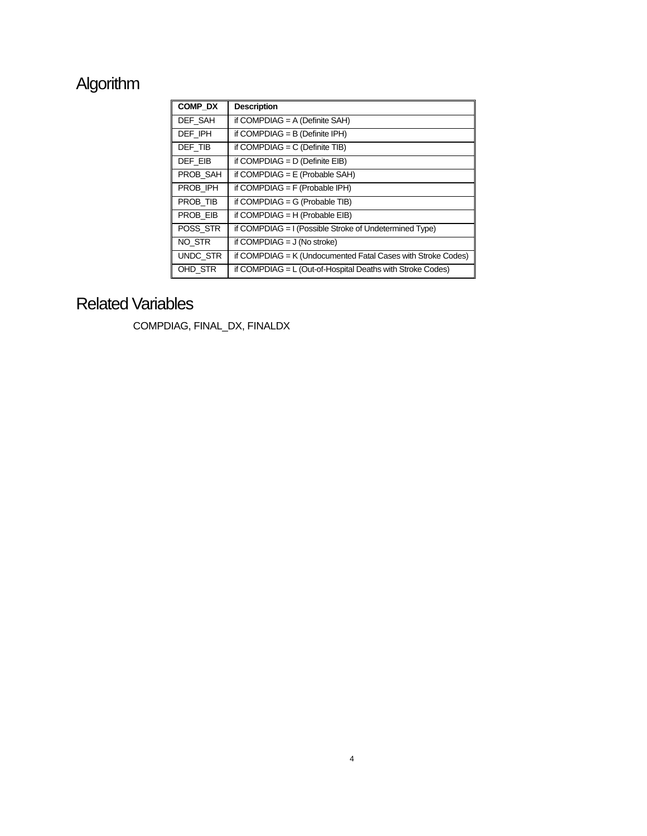# Algorithm

| COMP DX  | <b>Description</b>                                           |
|----------|--------------------------------------------------------------|
| DEF SAH  | if COMPDIAG = $A$ (Definite SAH)                             |
| DEF IPH  | if COMPDIAG = $B$ (Definite IPH)                             |
| DEF TIB  | if COMPDIAG = $C$ (Definite TIB)                             |
| DEF EIB  | if COMPDIAG = $D$ (Definite EIB)                             |
| PROB_SAH | if COMPDIAG = $E$ (Probable SAH)                             |
| PROB IPH | if COMPDIAG = $F$ (Probable IPH)                             |
| PROB TIB | if COMPDIAG = $G$ (Probable TIB)                             |
| PROB EIB | if COMPDIAG = $H$ (Probable EIB)                             |
| POSS STR | if COMPDIAG = I (Possible Stroke of Undetermined Type)       |
| NO STR   | if COMPDIAG $=$ J (No stroke)                                |
| UNDC_STR | if COMPDIAG = K (Undocumented Fatal Cases with Stroke Codes) |
| OHD_STR  | if COMPDIAG $= L$ (Out-of-Hospital Deaths with Stroke Codes) |

## Related Variables

COMPDIAG, FINAL\_DX, FINALDX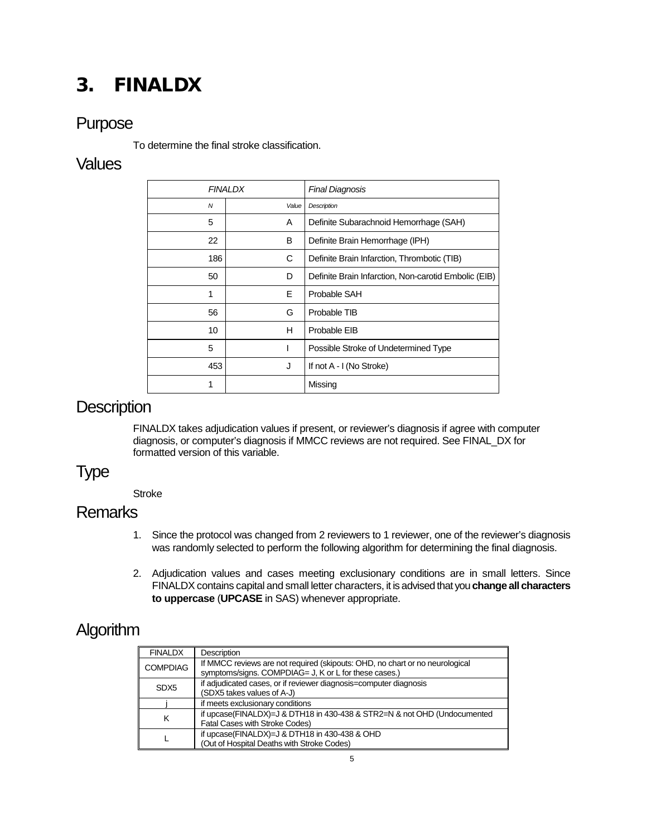## <span id="page-5-0"></span>3. FINALDX

#### Purpose

To determine the final stroke classification.

#### **Values**

|     | <b>FINALDX</b> | <b>Final Diagnosis</b>                               |
|-----|----------------|------------------------------------------------------|
| N   | Value          | Description                                          |
| 5   | A              | Definite Subarachnoid Hemorrhage (SAH)               |
| 22  | B              | Definite Brain Hemorrhage (IPH)                      |
| 186 | С              | Definite Brain Infarction, Thrombotic (TIB)          |
| 50  | D              | Definite Brain Infarction, Non-carotid Embolic (EIB) |
| 1   | Е              | Probable SAH                                         |
| 56  | G              | Probable TIB                                         |
| 10  | н              | Probable EIB                                         |
| 5   |                | Possible Stroke of Undetermined Type                 |
| 453 | J              | If not A - I (No Stroke)                             |
| 1   |                | Missing                                              |

#### **Description**

FINALDX takes adjudication values if present, or reviewer's diagnosis if agree with computer diagnosis, or computer's diagnosis if MMCC reviews are not required. See FINAL\_DX for formatted version of this variable.

#### Type

**Stroke** 

#### **Remarks**

- 1. Since the protocol was changed from 2 reviewers to 1 reviewer, one of the reviewer's diagnosis was randomly selected to perform the following algorithm for determining the final diagnosis.
- 2. Adjudication values and cases meeting exclusionary conditions are in small letters. Since FINALDX contains capital and small letter characters, it is advised that you **change all characters to uppercase** (**UPCASE** in SAS) whenever appropriate.

## **Algorithm**

| <b>FINALDX</b>   | Description                                                                                                                           |
|------------------|---------------------------------------------------------------------------------------------------------------------------------------|
| <b>COMPDIAG</b>  | If MMCC reviews are not required (skipouts: OHD, no chart or no neurological<br>symptoms/signs. COMPDIAG= J, K or L for these cases.) |
| SD <sub>X5</sub> | if adjudicated cases, or if reviewer diagnosis=computer diagnosis                                                                     |
|                  | (SDX5 takes values of A-J)                                                                                                            |
|                  | if meets exclusionary conditions                                                                                                      |
|                  | if upcase(FINALDX)=J & DTH18 in 430-438 & STR2=N & not OHD (Undocumented<br>Fatal Cases with Stroke Codes)                            |
|                  | if upcase(FINALDX)=J & DTH18 in 430-438 & OHD                                                                                         |
|                  | (Out of Hospital Deaths with Stroke Codes)                                                                                            |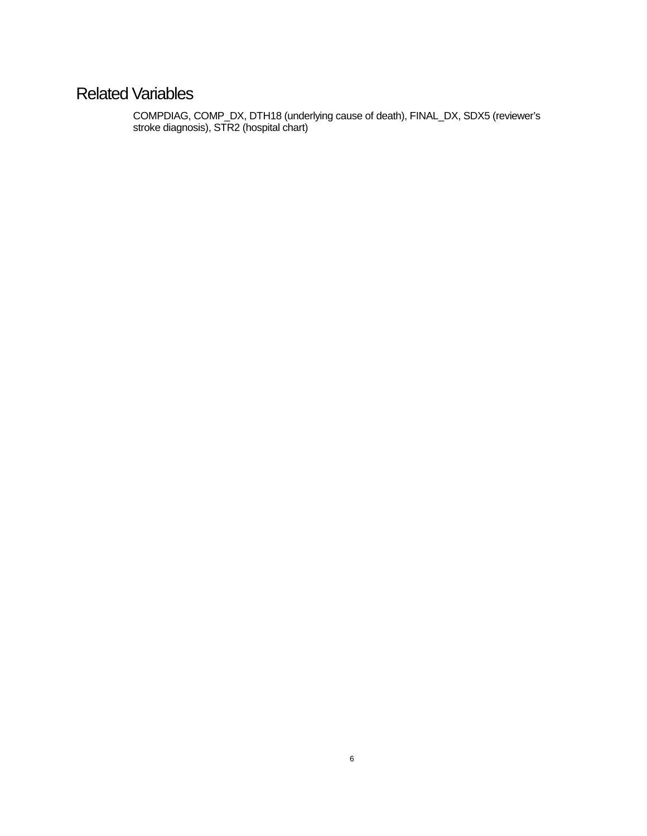## Related Variables

COMPDIAG, COMP\_DX, DTH18 (underlying cause of death), FINAL\_DX, SDX5 (reviewer's stroke diagnosis), STR2 (hospital chart)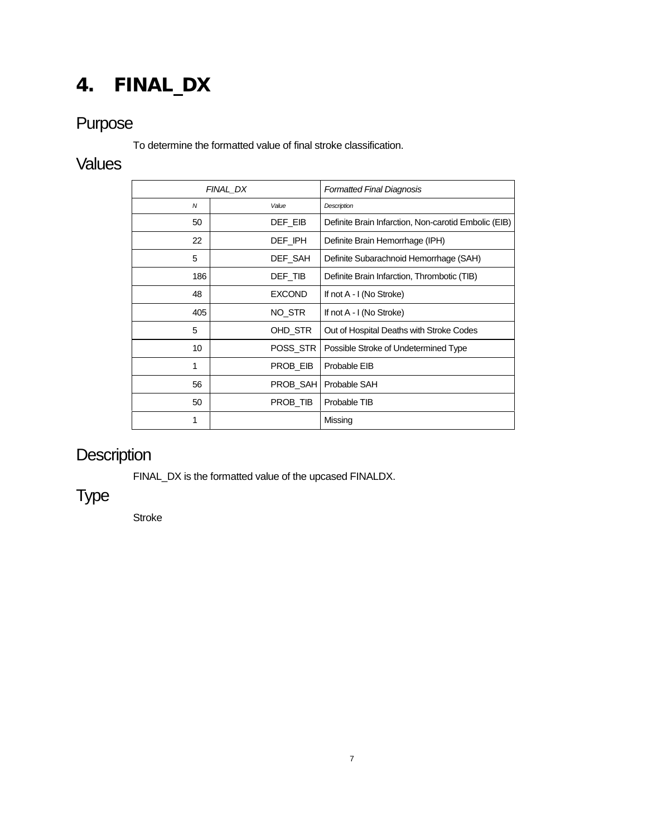# <span id="page-7-0"></span>4. FINAL\_DX

## Purpose

To determine the formatted value of final stroke classification.

#### **Values**

|              | FINAL DX      | <b>Formatted Final Diagnosis</b>                     |
|--------------|---------------|------------------------------------------------------|
| $\mathcal N$ | Value         | Description                                          |
| 50           | DEF EIB       | Definite Brain Infarction, Non-carotid Embolic (EIB) |
| 22           | DEF_IPH       | Definite Brain Hemorrhage (IPH)                      |
| 5            | DEF_SAH       | Definite Subarachnoid Hemorrhage (SAH)               |
| 186          | DEF TIB       | Definite Brain Infarction, Thrombotic (TIB)          |
| 48           | <b>EXCOND</b> | If not A - I (No Stroke)                             |
| 405          | NO STR        | If not A - I (No Stroke)                             |
| 5            | OHD_STR       | Out of Hospital Deaths with Stroke Codes             |
| 10           | POSS STR      | Possible Stroke of Undetermined Type                 |
| 1            | PROB EIB      | Probable EIB                                         |
| 56           | PROB_SAH      | Probable SAH                                         |
| 50           | PROB TIB      | Probable TIB                                         |
| 1            |               | Missing                                              |

# **Description**

FINAL\_DX is the formatted value of the upcased FINALDX.

## Type

Stroke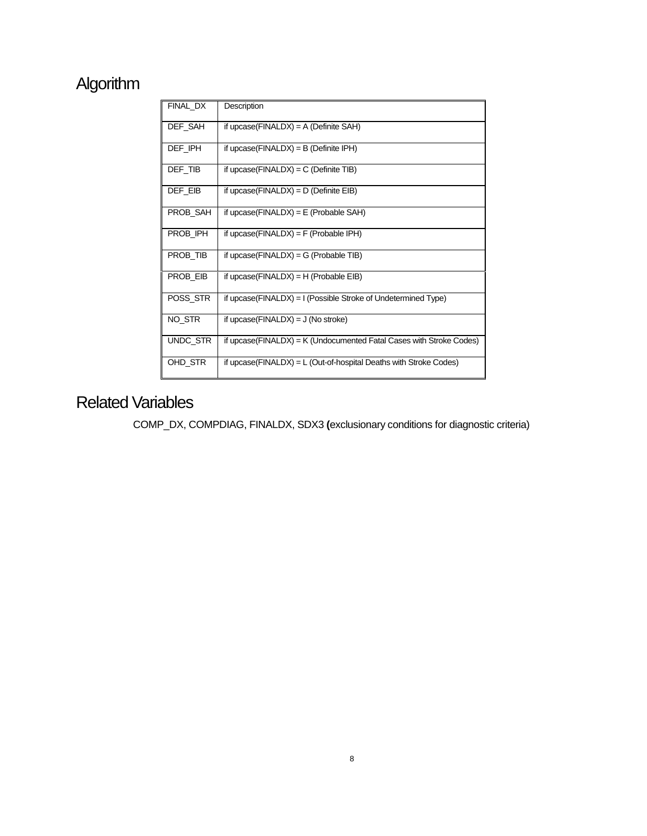## Algorithm

| FINAL DX | Description                                                         |
|----------|---------------------------------------------------------------------|
| DEF_SAH  | if upcase( $FINALDX$ ) = A (Definite SAH)                           |
| DEF IPH  | if upcase( $FINALDX$ ) = B (Definite IPH)                           |
| DEF_TIB  | if upcase( $FINALDX$ ) = $C$ (Definite TIB)                         |
| DEF EIB  | if upcase( $FINALDX$ ) = D (Definite $EIB$ )                        |
| PROB_SAH | if upcase( $FINALDX$ ) = $E$ ( $Probable SAH$ )                     |
| PROB IPH | if upcase( $FINALDX$ ) = $F$ ( $Probable IPH$ )                     |
| PROB_TIB | if upcase( $FINALDX$ ) = G ( $Probable TIB$ )                       |
| PROB EIB | if upcase( $FINALDX$ ) = H ( $Probable EIB$ )                       |
| POSS_STR | if upcase(FINALDX) = I (Possible Stroke of Undetermined Type)       |
| NO_STR   | if upcase( $FINALDX$ ) = J (No stroke)                              |
| UNDC_STR | if upcase(FINALDX) = K (Undocumented Fatal Cases with Stroke Codes) |
| OHD STR  | if upcase(FINALDX) = $L$ (Out-of-hospital Deaths with Stroke Codes) |

## Related Variables

COMP\_DX, COMPDIAG, FINALDX, SDX3 **(**exclusionary conditions for diagnostic criteria)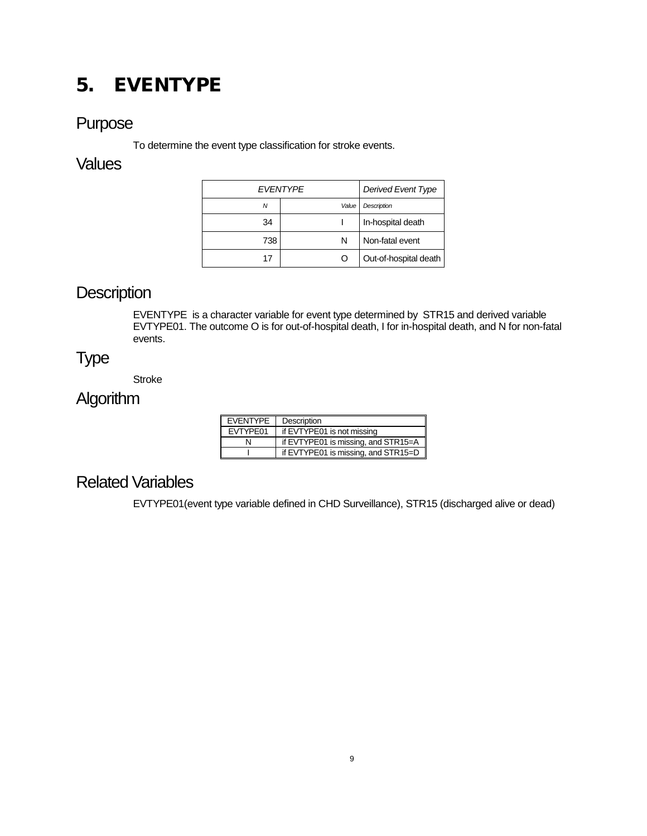## <span id="page-9-0"></span>5. EVENTYPE

#### Purpose

To determine the event type classification for stroke events.

#### **Values**

| <b>FVFNTYPF</b> |       | Derived Event Type    |
|-----------------|-------|-----------------------|
| Ν               | Value | <b>Description</b>    |
| 34              |       | In-hospital death     |
| 738             | N     | Non-fatal event       |
| 17              | Ω     | Out-of-hospital death |

## **Description**

EVENTYPE is a character variable for event type determined by STR15 and derived variable EVTYPE01. The outcome O is for out-of-hospital death, I for in-hospital death, and N for non-fatal events.

#### Type

Stroke

## **Algorithm**

| <b>EVENTYPE</b> | Description                                     |
|-----------------|-------------------------------------------------|
| EVTYPE01        | if EVTYPE01 is not missing                      |
|                 | if EVTYPE01 is missing, and STR15=A $\parallel$ |
|                 | if EVTYPE01 is missing, and STR15=D             |

#### Related Variables

EVTYPE01(event type variable defined in CHD Surveillance), STR15 (discharged alive or dead)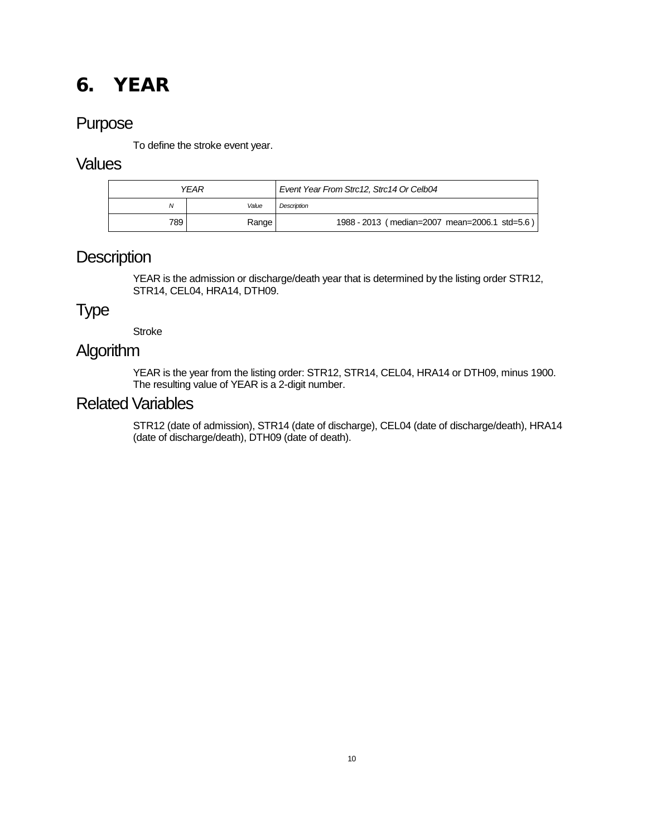## <span id="page-10-0"></span>6. YEAR

#### Purpose

To define the stroke event year.

#### **Values**

|     | YEAR  | Event Year From Strc12, Strc14 Or Celb04      |
|-----|-------|-----------------------------------------------|
| Ν   | Value | <b>Description</b>                            |
| 789 | Range | 1988 - 2013 (median=2007 mean=2006.1 std=5.6) |

#### **Description**

YEAR is the admission or discharge/death year that is determined by the listing order STR12, STR14, CEL04, HRA14, DTH09.

#### Type

**Stroke** 

#### **Algorithm**

YEAR is the year from the listing order: STR12, STR14, CEL04, HRA14 or DTH09, minus 1900. The resulting value of YEAR is a 2-digit number.

#### Related Variables

STR12 (date of admission), STR14 (date of discharge), CEL04 (date of discharge/death), HRA14 (date of discharge/death), DTH09 (date of death).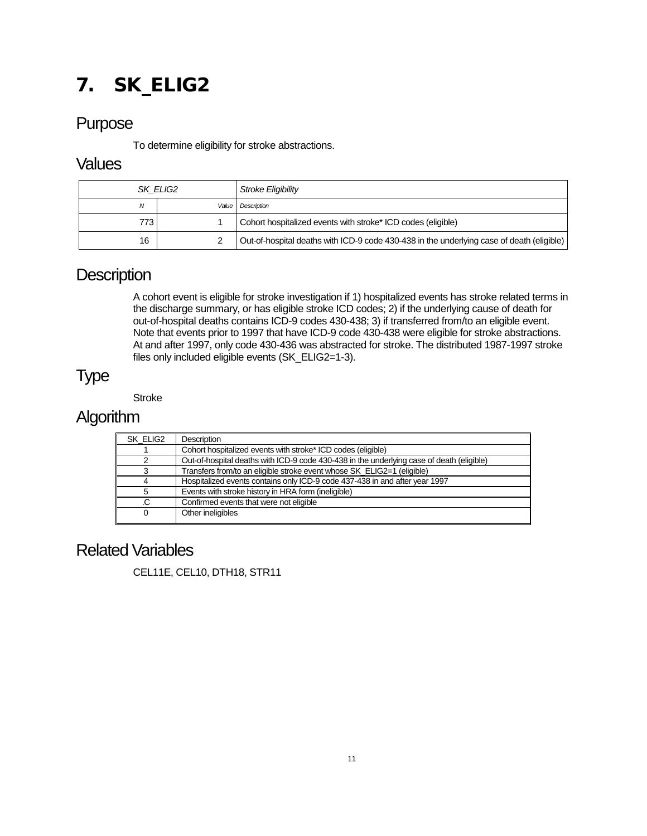# <span id="page-11-0"></span>7. SK\_ELIG2

#### Purpose

To determine eligibility for stroke abstractions.

#### **Values**

| SK ELIG2 |       | Stroke Eligibility                                                                        |
|----------|-------|-------------------------------------------------------------------------------------------|
| N        | Value | Description                                                                               |
| 773      |       | Cohort hospitalized events with stroke* ICD codes (eligible)                              |
| 16       |       | Out-of-hospital deaths with ICD-9 code 430-438 in the underlying case of death (eligible) |

#### **Description**

A cohort event is eligible for stroke investigation if 1) hospitalized events has stroke related terms in the discharge summary, or has eligible stroke ICD codes; 2) if the underlying cause of death for out-of-hospital deaths contains ICD-9 codes 430-438; 3) if transferred from/to an eligible event. Note that events prior to 1997 that have ICD-9 code 430-438 were eligible for stroke abstractions. At and after 1997, only code 430-436 was abstracted for stroke. The distributed 1987-1997 stroke files only included eligible events (SK\_ELIG2=1-3).

### Type

**Stroke** 

#### **Algorithm**

| SK ELIG2 | <b>Description</b>                                                                        |
|----------|-------------------------------------------------------------------------------------------|
|          | Cohort hospitalized events with stroke* ICD codes (eligible)                              |
|          | Out-of-hospital deaths with ICD-9 code 430-438 in the underlying case of death (eligible) |
|          | Transfers from/to an eligible stroke event whose SK ELIG2=1 (eligible)                    |
|          | Hospitalized events contains only ICD-9 code 437-438 in and after year 1997               |
| 5        | Events with stroke history in HRA form (ineligible)                                       |
|          | Confirmed events that were not eligible                                                   |
|          | Other ineligibles                                                                         |
|          |                                                                                           |

#### Related Variables

CEL11E, CEL10, DTH18, STR11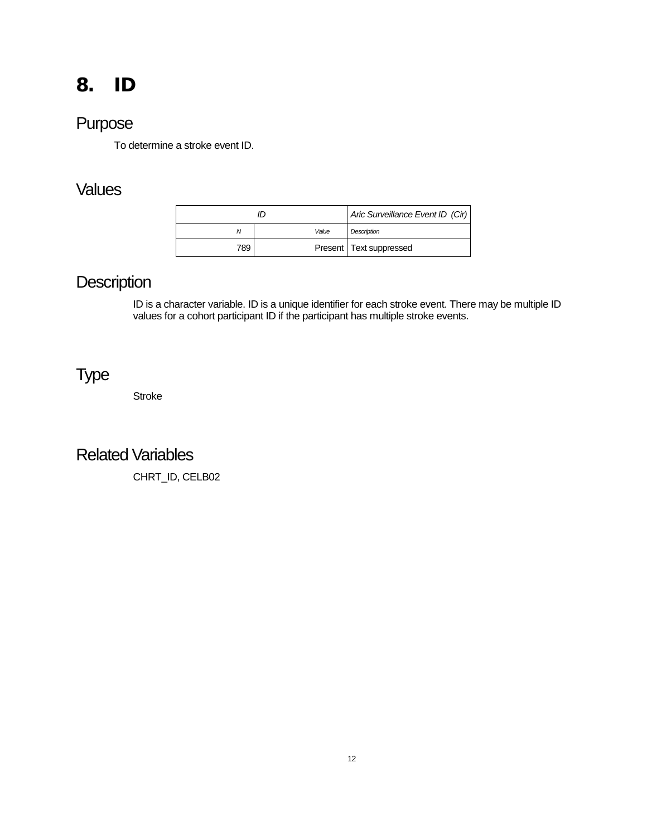## <span id="page-12-0"></span>8. ID

### Purpose

To determine a stroke event ID.

### Values

|     |       | Aric Surveillance Event ID (Cir) |
|-----|-------|----------------------------------|
| Ν   | Value | Description                      |
| 789 |       | Present   Text suppressed        |

### **Description**

ID is a character variable. ID is a unique identifier for each stroke event. There may be multiple ID values for a cohort participant ID if the participant has multiple stroke events.

## Type

Stroke

#### Related Variables

CHRT\_ID, CELB02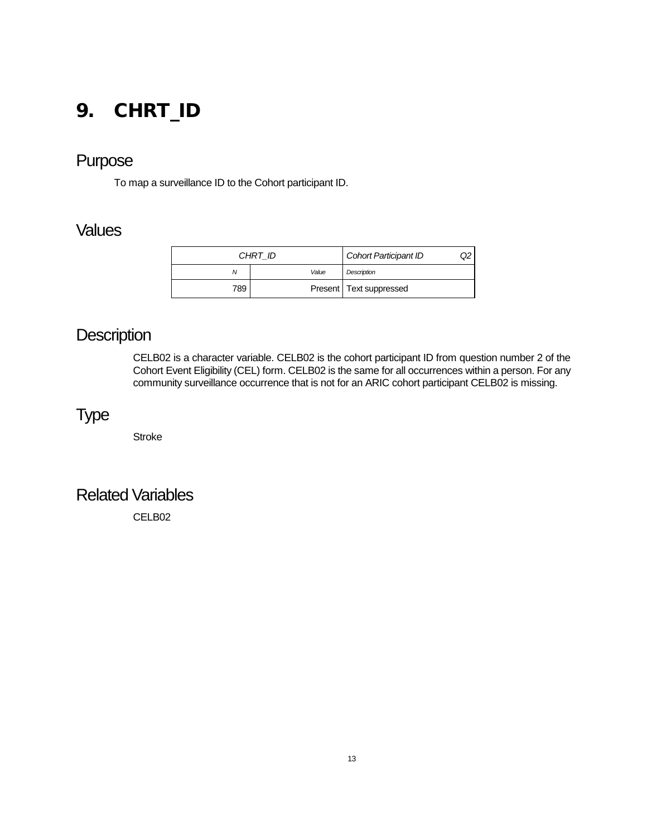## <span id="page-13-0"></span>9. CHRT\_ID

#### Purpose

To map a surveillance ID to the Cohort participant ID.

#### **Values**

| CHRT ID |       | <b>Cohort Participant ID</b> | Q2 |
|---------|-------|------------------------------|----|
| Ν       | Value | Description                  |    |
| 789     |       | Present   Text suppressed    |    |

## **Description**

CELB02 is a character variable. CELB02 is the cohort participant ID from question number 2 of the Cohort Event Eligibility (CEL) form. CELB02 is the same for all occurrences within a person. For any community surveillance occurrence that is not for an ARIC cohort participant CELB02 is missing.

## Type

Stroke

#### Related Variables

CELB02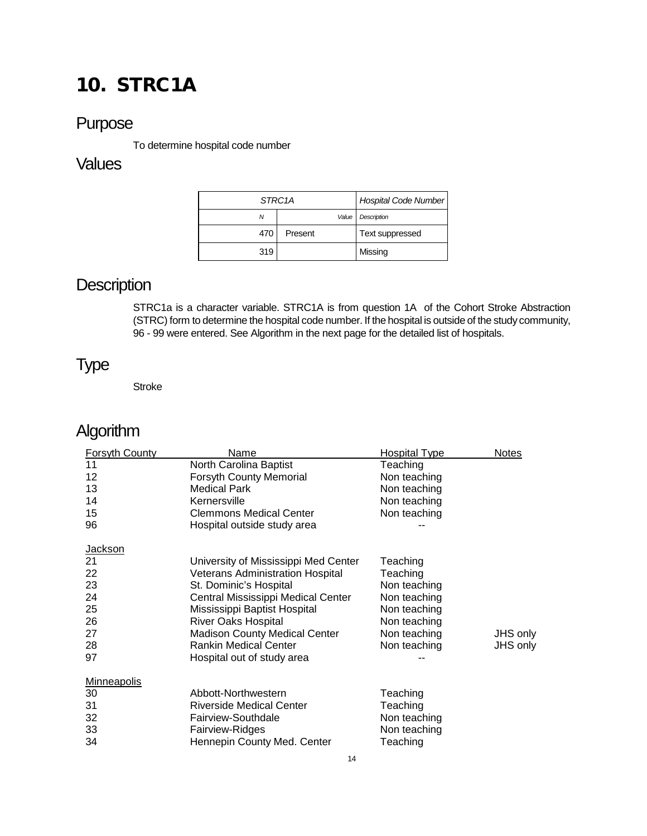# <span id="page-14-0"></span>10. STRC1A

#### Purpose

To determine hospital code number

#### **Values**

| STRC <sub>1</sub> A |         |       | Hospital Code Number |
|---------------------|---------|-------|----------------------|
| N                   |         | Value | Description          |
| 470                 | Present |       | Text suppressed      |
| 319                 |         |       | Missing              |

### **Description**

STRC1a is a character variable. STRC1A is from question 1A of the Cohort Stroke Abstraction (STRC) form to determine the hospital code number. If the hospital is outside of the study community, 96 - 99 were entered. See Algorithm in the next page for the detailed list of hospitals.

## Type

**Stroke** 

## Algorithm

| <b>Forsyth County</b> | Name                                    | <b>Hospital Type</b> | <b>Notes</b> |
|-----------------------|-----------------------------------------|----------------------|--------------|
| 11                    | North Carolina Baptist                  | Teaching             |              |
| 12                    | <b>Forsyth County Memorial</b>          | Non teaching         |              |
| 13                    | <b>Medical Park</b>                     | Non teaching         |              |
| 14                    | Kernersville                            | Non teaching         |              |
| 15                    | <b>Clemmons Medical Center</b>          | Non teaching         |              |
| 96                    | Hospital outside study area             |                      |              |
| <b>Jackson</b>        |                                         |                      |              |
| 21                    | University of Mississippi Med Center    | Teaching             |              |
| 22                    | <b>Veterans Administration Hospital</b> | Teaching             |              |
| 23                    | St. Dominic's Hospital                  | Non teaching         |              |
| 24                    | Central Mississippi Medical Center      | Non teaching         |              |
| 25                    | Mississippi Baptist Hospital            | Non teaching         |              |
| 26                    | <b>River Oaks Hospital</b>              | Non teaching         |              |
| 27                    | <b>Madison County Medical Center</b>    | Non teaching         | JHS only     |
| 28                    | <b>Rankin Medical Center</b>            | Non teaching         | JHS only     |
| 97                    | Hospital out of study area              |                      |              |
| <b>Minneapolis</b>    |                                         |                      |              |
| 30                    | Abbott-Northwestern                     | Teaching             |              |
| 31                    | <b>Riverside Medical Center</b>         | Teaching             |              |
| 32                    | Fairview-Southdale                      | Non teaching         |              |
| 33                    | Fairview-Ridges                         | Non teaching         |              |
| 34                    | Hennepin County Med. Center             | Teaching             |              |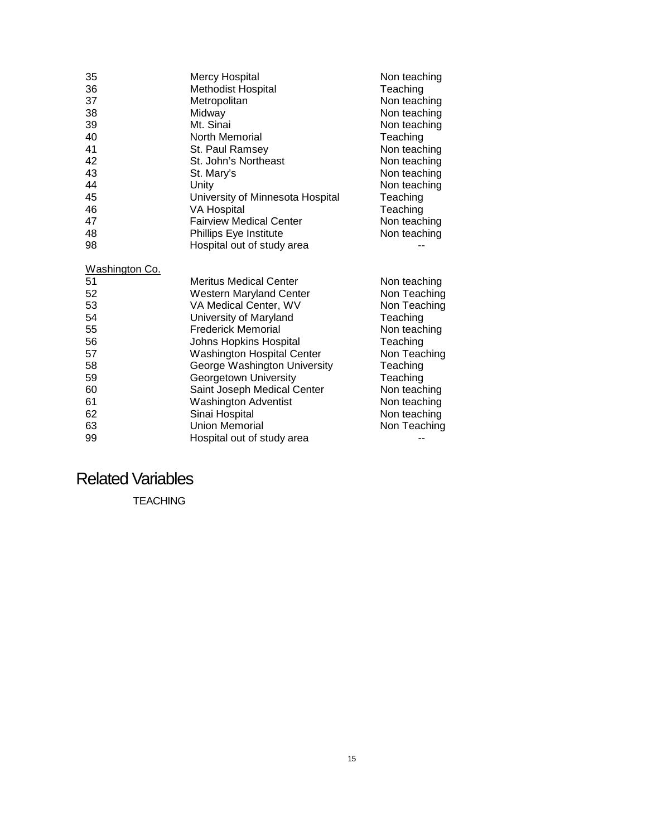| 35             | <b>Mercy Hospital</b>             | Non teaching |
|----------------|-----------------------------------|--------------|
| 36             | <b>Methodist Hospital</b>         | Teaching     |
| 37             | Metropolitan                      | Non teaching |
| 38             | Midway                            | Non teaching |
| 39             | Mt. Sinai                         | Non teaching |
| 40             | North Memorial                    | Teaching     |
| 41             | St. Paul Ramsey                   | Non teaching |
| 42             | St. John's Northeast              | Non teaching |
| 43             | St. Mary's                        | Non teaching |
| 44             | Unity                             | Non teaching |
| 45             | University of Minnesota Hospital  | Teaching     |
| 46             | <b>VA Hospital</b>                | Teaching     |
| 47             | <b>Fairview Medical Center</b>    | Non teaching |
| 48             | Phillips Eye Institute            | Non teaching |
| 98             | Hospital out of study area        |              |
| Washington Co. |                                   |              |
| 51             | <b>Meritus Medical Center</b>     | Non teaching |
| 52             | <b>Western Maryland Center</b>    | Non Teaching |
| 53             | VA Medical Center, WV             | Non Teaching |
| 54             | University of Maryland            | Teaching     |
| 55             | <b>Frederick Memorial</b>         | Non teaching |
| 56             | Johns Hopkins Hospital            | Teaching     |
| 57             | <b>Washington Hospital Center</b> | Non Teaching |
| 58             | George Washington University      | Teaching     |
| 59             | Georgetown University             | Teaching     |
| 60             | Saint Joseph Medical Center       | Non teaching |
| 61             | <b>Washington Adventist</b>       | Non teaching |
| 62             | Sinai Hospital                    | Non teaching |
| 63             | <b>Union Memorial</b>             | Non Teaching |
| 99             | Hospital out of study area        |              |

### Related Variables

TEACHING